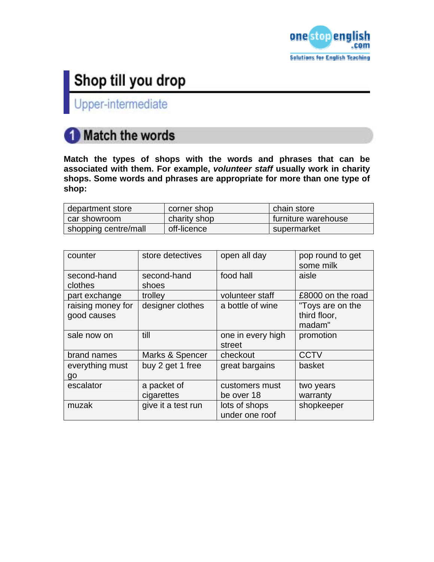

Upper-intermediate

## **Match the words**

**Match the types of shops with the words and phrases that can be associated with them. For example,** *volunteer staff* **usually work in charity shops. Some words and phrases are appropriate for more than one type of shop:** 

| department store     | corner shop  | chain store         |
|----------------------|--------------|---------------------|
| car showroom         | charity shop | furniture warehouse |
| shopping centre/mall | off-licence  | supermarket         |

| counter                          | store detectives          | open all day                    | pop round to get<br>some milk              |
|----------------------------------|---------------------------|---------------------------------|--------------------------------------------|
| second-hand<br>clothes           | second-hand<br>shoes      | food hall                       | aisle                                      |
| part exchange                    | trolley                   | volunteer staff                 | £8000 on the road                          |
| raising money for<br>good causes | designer clothes          | a bottle of wine                | "Toys are on the<br>third floor,<br>madam" |
| sale now on                      | till                      | one in every high<br>street     | promotion                                  |
| brand names                      | Marks & Spencer           | checkout                        | <b>CCTV</b>                                |
| everything must<br>go            | buy 2 get 1 free          | great bargains                  | basket                                     |
| escalator                        | a packet of<br>cigarettes | customers must<br>be over 18    | two years<br>warranty                      |
| muzak                            | give it a test run        | lots of shops<br>under one roof | shopkeeper                                 |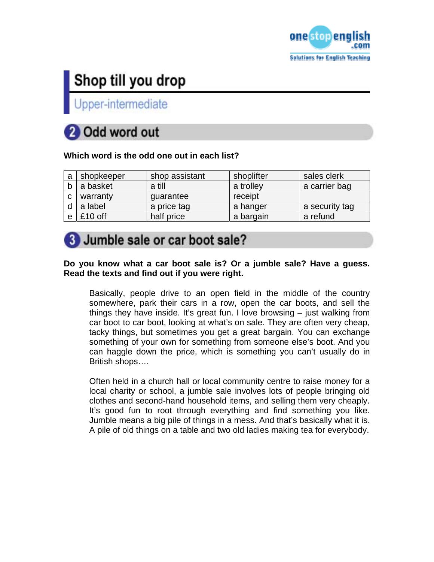

Upper-intermediate

# 2 Odd word out

### **Which word is the odd one out in each list?**

| a | shopkeeper | shop assistant | shoplifter | sales clerk    |
|---|------------|----------------|------------|----------------|
|   | a basket   | a till         | a trolley  | a carrier bag  |
| C | warranty   | quarantee      | receipt    |                |
|   | a label    | a price tag    | a hanger   | a security tag |
|   | $£10$ off  | half price     | a bargain  | a refund       |

### 3 Jumble sale or car boot sale?

#### **Do you know what a car boot sale is? Or a jumble sale? Have a guess. Read the texts and find out if you were right.**

Basically, people drive to an open field in the middle of the country somewhere, park their cars in a row, open the car boots, and sell the things they have inside. It's great fun. I love browsing – just walking from car boot to car boot, looking at what's on sale. They are often very cheap, tacky things, but sometimes you get a great bargain. You can exchange something of your own for something from someone else's boot. And you can haggle down the price, which is something you can't usually do in British shops….

Often held in a church hall or local community centre to raise money for a local charity or school, a jumble sale involves lots of people bringing old clothes and second-hand household items, and selling them very cheaply. It's good fun to root through everything and find something you like. Jumble means a big pile of things in a mess. And that's basically what it is. A pile of old things on a table and two old ladies making tea for everybody.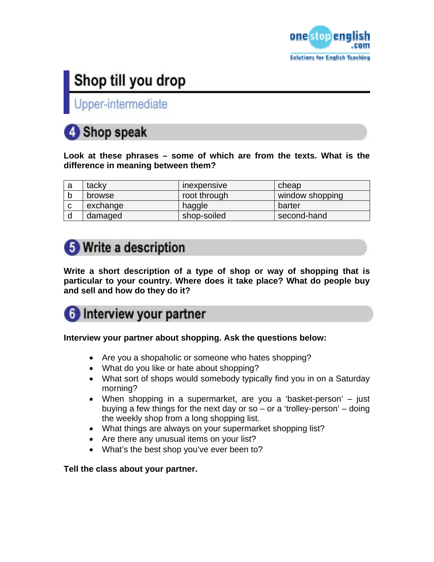

Upper-intermediate

## 4 Shop speak

**Look at these phrases – some of which are from the texts. What is the difference in meaning between them?** 

| a | tacky    | <b>Inexpensive</b> | cheap           |
|---|----------|--------------------|-----------------|
|   | browse   | root through       | window shopping |
| ◠ | exchange | haggle             | barter          |
|   | damaged  | shop-soiled        | second-hand     |

## **5** Write a description

**Write a short description of a type of shop or way of shopping that is particular to your country. Where does it take place? What do people buy and sell and how do they do it?** 

## **6** Interview your partner

### **Interview your partner about shopping. Ask the questions below:**

- Are you a shopaholic or someone who hates shopping?
- What do you like or hate about shopping?
- What sort of shops would somebody typically find you in on a Saturday morning?
- When shopping in a supermarket, are you a 'basket-person' just buying a few things for the next day or so  $-$  or a 'trolley-person'  $-$  doing the weekly shop from a long shopping list.
- What things are always on your supermarket shopping list?
- Are there any unusual items on your list?
- What's the best shop you've ever been to?

#### **Tell the class about your partner.**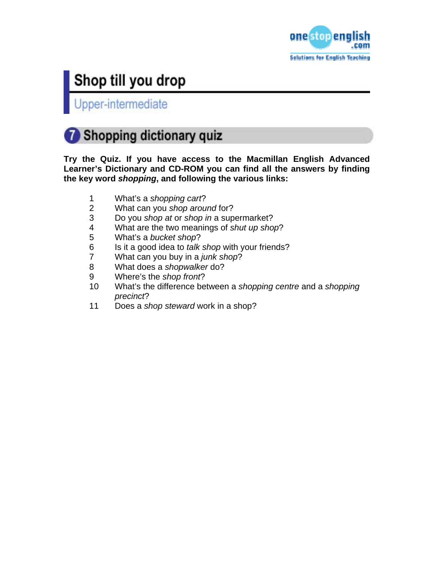

Upper-intermediate

## Shopping dictionary quiz

**Try the Quiz. If you have access to the Macmillan English Advanced Learner's Dictionary and CD-ROM you can find all the answers by finding the key word** *shopping***, and following the various links:** 

- 1 What's a *shopping cart*?
- 2 What can you *shop around* for?
- 3 Do you *shop at* or *shop in* a supermarket?
- 4 What are the two meanings of *shut up shop*?
- 5 What's a *bucket shop*?
- 6 Is it a good idea to *talk shop* with your friends?<br>7 What can you buy in a *junk shop*?
- 7 What can you buy in a *junk shop*?
- 8 What does a *shopwalker* do?
- 9 Where's the *shop front*?
- 10 What's the difference between a *shopping centre* and a *shopping precinct*?
- 11 Does a *shop steward* work in a shop?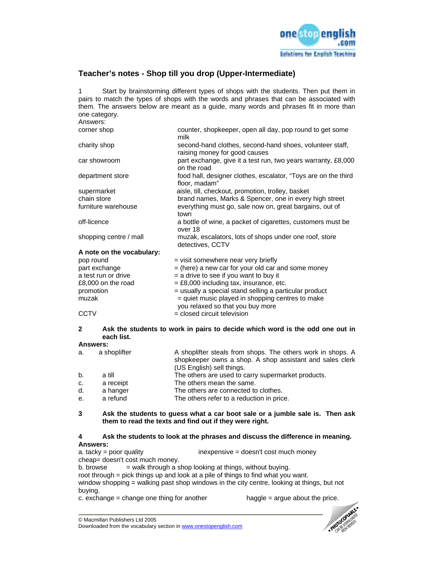

#### **Teacher's notes - Shop till you drop (Upper-Intermediate)**

1 Start by brainstorming different types of shops with the students. Then put them in pairs to match the types of shops with the words and phrases that can be associated with them. The answers below are meant as a guide, many words and phrases fit in more than one category.

| Answers:                  |                                                                                           |
|---------------------------|-------------------------------------------------------------------------------------------|
| corner shop               | counter, shopkeeper, open all day, pop round to get some<br>milk                          |
| charity shop              | second-hand clothes, second-hand shoes, volunteer staff,<br>raising money for good causes |
| car showroom              | part exchange, give it a test run, two years warranty, £8,000<br>on the road              |
| department store          | food hall, designer clothes, escalator, "Toys are on the third<br>floor, madam"           |
| supermarket               | aisle, till, checkout, promotion, trolley, basket                                         |
| chain store               | brand names, Marks & Spencer, one in every high street                                    |
| furniture warehouse       | everything must go, sale now on, great bargains, out of<br>town                           |
| off-licence               | a bottle of wine, a packet of cigarettes, customers must be<br>over 18                    |
| shopping centre / mall    | muzak, escalators, lots of shops under one roof, store<br>detectives, CCTV                |
| A note on the vocabulary: |                                                                                           |
| pop round                 | = visit somewhere near very briefly                                                       |
| part exchange             | $=$ (here) a new car for your old car and some money                                      |
| a test run or drive       | $=$ a drive to see if you want to buy it                                                  |
| £8,000 on the road        | $=$ £8,000 including tax, insurance, etc.                                                 |
| promotion                 | = usually a special stand selling a particular product                                    |
| muzak                     | = quiet music played in shopping centres to make<br>you relaxed so that you buy more      |
| <b>CCTV</b>               | = closed circuit television                                                               |

#### **2 Ask the students to work in pairs to decide which word is the odd one out in each list.**

#### **Answers:**

| a. | a shoplifter | A shoplifter steals from shops. The others work in shops. A<br>shopkeeper owns a shop. A shop assistant and sales clerk<br>(US English) sell things. |
|----|--------------|------------------------------------------------------------------------------------------------------------------------------------------------------|
| b. | a till       | The others are used to carry supermarket products.                                                                                                   |
| C. | a receipt    | The others mean the same.                                                                                                                            |
| d. | a hanger     | The others are connected to clothes.                                                                                                                 |
| e. | a refund     | The others refer to a reduction in price.                                                                                                            |

#### **3 Ask the students to guess what a car boot sale or a jumble sale is. Then ask them to read the texts and find out if they were right.**

#### **4 Ask the students to look at the phrases and discuss the difference in meaning. Answers:**

a. tacky = poor quality inexpensive = doesn't cost much money cheap= doesn't cost much money. b. browse  $=$  walk through a shop looking at things, without buying. root through = pick things up and look at a pile of things to find what you want. window shopping = walking past shop windows in the city centre, looking at things, but not buying. c. exchange  $=$  change one thing for another haggle  $=$  argue about the price.